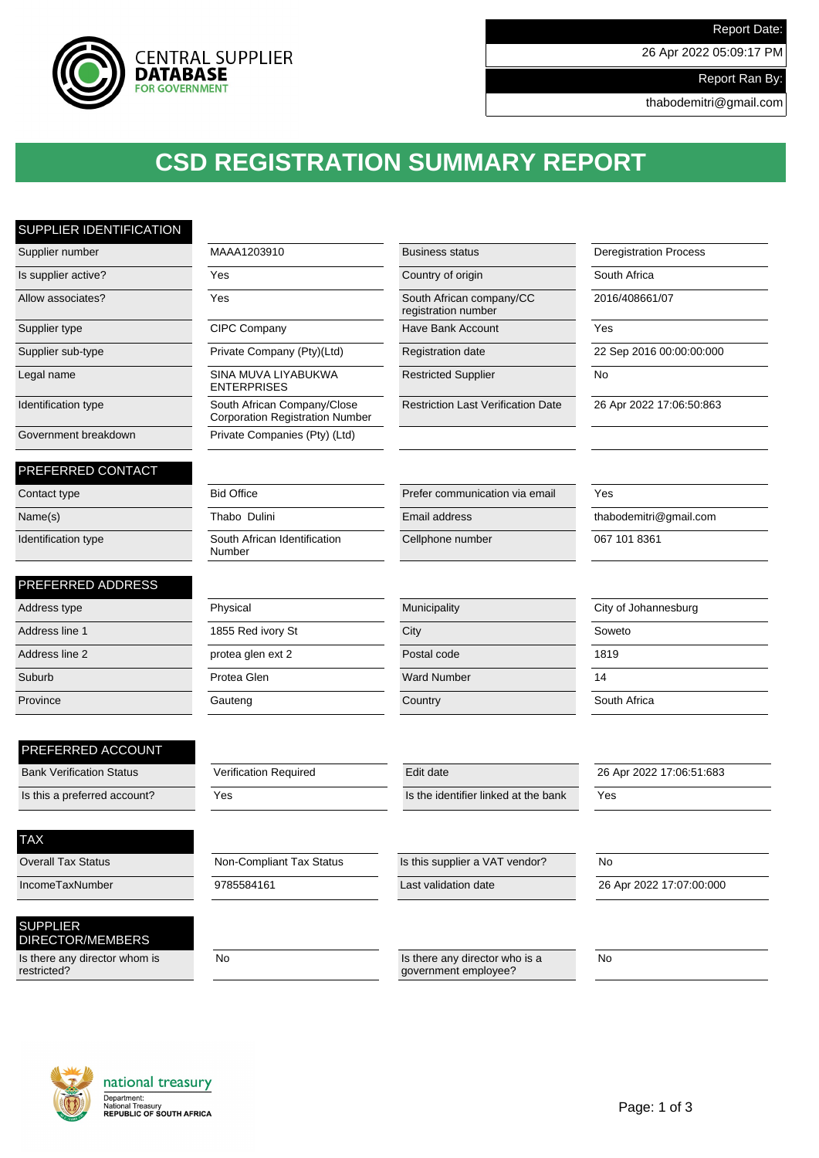

26 Apr 2022 05:09:17 PM

Report Ran By:

thabodemitri@gmail.com

## **CSD REGISTRATION SUMMARY REPORT**

### SUPPLIER IDENTIFICATION

| Supplier number                 | MAAA1203910                                                           | <b>Business status</b>                          | <b>Deregistration Process</b> |
|---------------------------------|-----------------------------------------------------------------------|-------------------------------------------------|-------------------------------|
| Is supplier active?             | Yes                                                                   | Country of origin                               | South Africa                  |
| Allow associates?               | Yes                                                                   | South African company/CC<br>registration number | 2016/408661/07                |
| Supplier type                   | CIPC Company                                                          | Have Bank Account                               | Yes                           |
| Supplier sub-type               | Private Company (Pty)(Ltd)                                            | Registration date                               | 22 Sep 2016 00:00:00:000      |
| Legal name                      | SINA MUVA LIYABUKWA<br><b>ENTERPRISES</b>                             | <b>Restricted Supplier</b>                      | No                            |
| Identification type             | South African Company/Close<br><b>Corporation Registration Number</b> | <b>Restriction Last Verification Date</b>       | 26 Apr 2022 17:06:50:863      |
| Government breakdown            | Private Companies (Pty) (Ltd)                                         |                                                 |                               |
| PREFERRED CONTACT               |                                                                       |                                                 |                               |
| Contact type                    | <b>Bid Office</b>                                                     | Prefer communication via email                  | Yes                           |
| Name(s)                         | Thabo Dulini                                                          | Email address                                   | thabodemitri@gmail.com        |
| Identification type             | South African Identification<br>Number                                | Cellphone number                                | 067 101 8361                  |
| PREFERRED ADDRESS               |                                                                       |                                                 |                               |
| Address type                    | Physical                                                              | Municipality                                    | City of Johannesburg          |
| Address line 1                  | 1855 Red ivory St                                                     | City                                            | Soweto                        |
| Address line 2                  | protea glen ext 2                                                     | Postal code                                     | 1819                          |
| Suburb                          | Protea Glen                                                           | <b>Ward Number</b>                              | 14                            |
| Province                        | Gauteng                                                               | Country                                         | South Africa                  |
| PREFERRED ACCOUNT               |                                                                       |                                                 |                               |
| <b>Bank Verification Status</b> | Verification Required                                                 | Edit date                                       | 26 Apr 2022 17:06:51:683      |
| Is this a preferred account?    | Yes                                                                   | Is the identifier linked at the bank            | Yes                           |
| <b>TAX</b>                      |                                                                       |                                                 |                               |
| <b>Overall Tax Status</b>       | Non-Compliant Tax Status                                              | Is this supplier a VAT vendor?                  | <b>No</b>                     |
| IncomeTaxNumber                 | 9785584161                                                            | Last validation date                            | 26 Apr 2022 17:07:00:000      |
|                                 |                                                                       |                                                 |                               |
| <b>SUPPLIER</b>                 |                                                                       |                                                 |                               |

No Is there any director who is a

government employee?

#### DIRECTOR/MEMBERS Is there any director whom is restricted?



 $\overline{N_0}$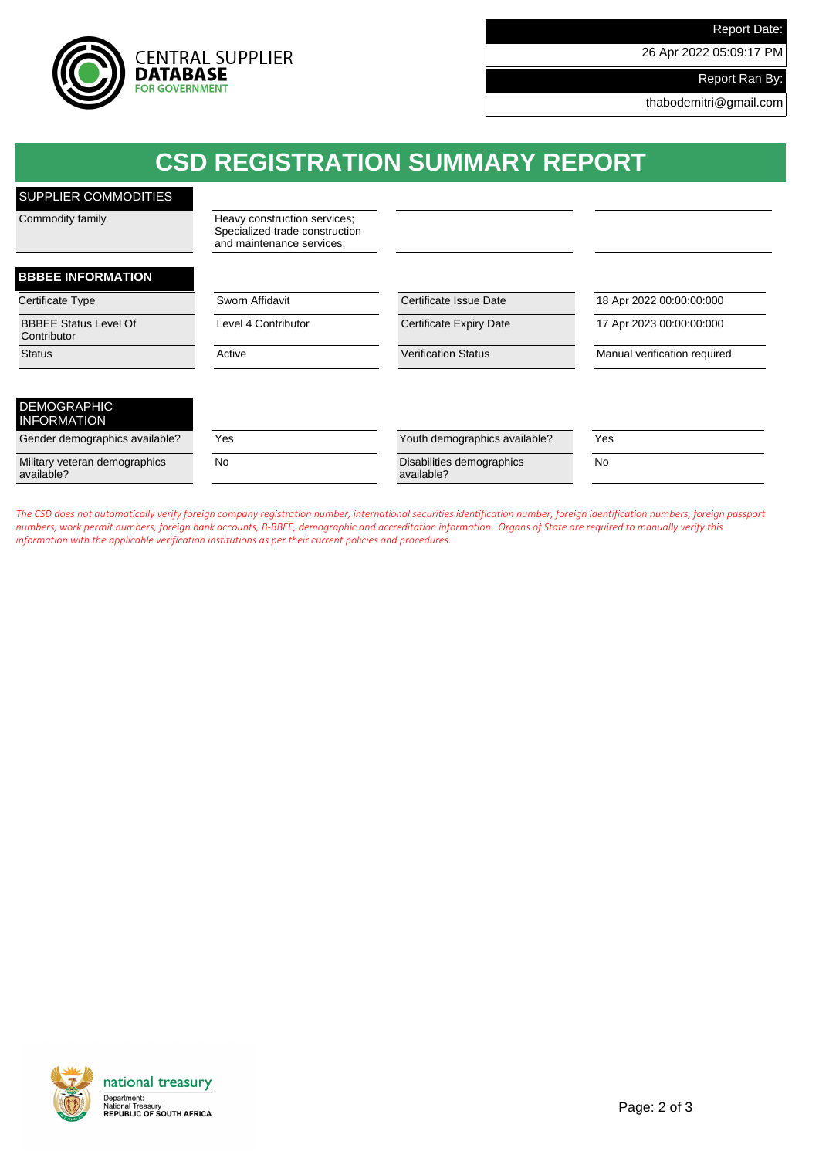

26 Apr 2022 05:09:17 PM

Report Ran By:

thabodemitri@gmail.com

| <b>CSD REGISTRATION SUMMARY REPORT</b>      |                                                                                             |                                         |                              |  |
|---------------------------------------------|---------------------------------------------------------------------------------------------|-----------------------------------------|------------------------------|--|
| SUPPLIER COMMODITIES                        |                                                                                             |                                         |                              |  |
| Commodity family                            | Heavy construction services;<br>Specialized trade construction<br>and maintenance services; |                                         |                              |  |
| <b>BBBEE INFORMATION</b>                    |                                                                                             |                                         |                              |  |
| Certificate Type                            | Sworn Affidavit                                                                             | Certificate Issue Date                  | 18 Apr 2022 00:00:00:000     |  |
| <b>BBBEE Status Level Of</b><br>Contributor | Level 4 Contributor                                                                         | Certificate Expiry Date                 | 17 Apr 2023 00:00:00:000     |  |
| <b>Status</b>                               | Active                                                                                      | <b>Verification Status</b>              | Manual verification required |  |
| <b>DEMOGRAPHIC</b><br><b>INFORMATION</b>    |                                                                                             |                                         |                              |  |
| Gender demographics available?              | Yes                                                                                         | Youth demographics available?           | Yes                          |  |
| Military veteran demographics<br>available? | <b>No</b>                                                                                   | Disabilities demographics<br>available? | <b>No</b>                    |  |

*The CSD does not automatically verify foreign company registration number, international securities identification number, foreign identification numbers, foreign passport numbers, work permit numbers, foreign bank accounts, B-BBEE, demographic and accreditation information. Organs of State are required to manually verify this information with the applicable verification institutions as per their current policies and procedures.*